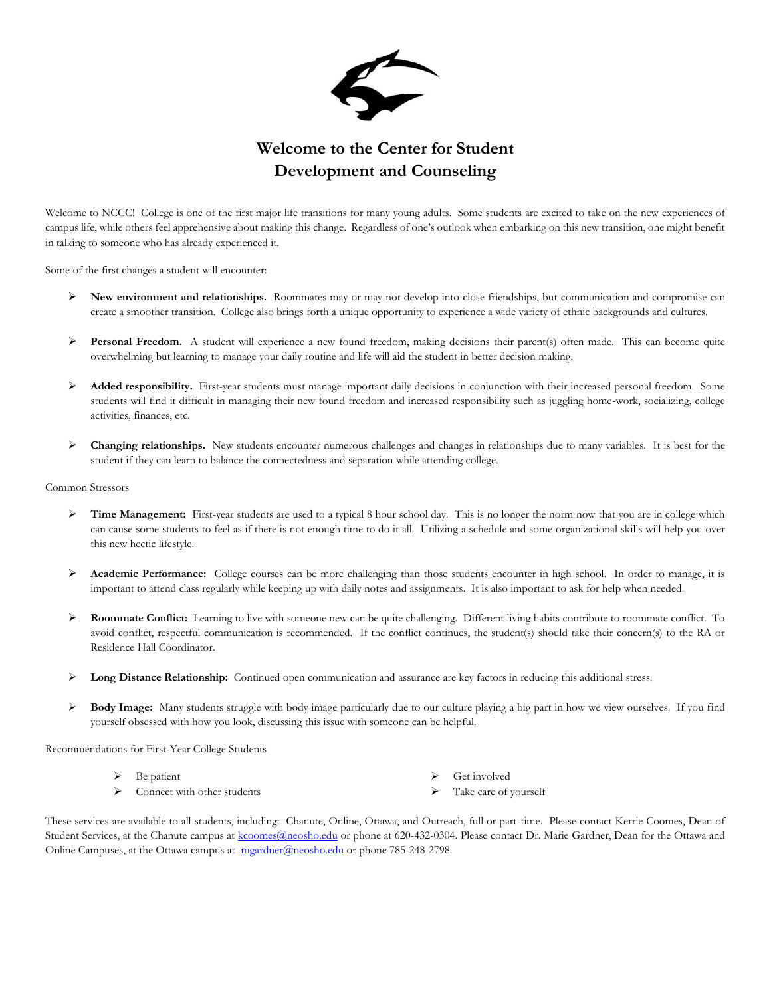

## **Welcome to the Center for Student Development and Counseling**

Welcome to NCCC! College is one of the first major life transitions for many young adults. Some students are excited to take on the new experiences of campus life, while others feel apprehensive about making this change. Regardless of one's outlook when embarking on this new transition, one might benefit in talking to someone who has already experienced it.

Some of the first changes a student will encounter:

- **New environment and relationships.** Roommates may or may not develop into close friendships, but communication and compromise can create a smoother transition. College also brings forth a unique opportunity to experience a wide variety of ethnic backgrounds and cultures.
- **Personal Freedom.** A student will experience a new found freedom, making decisions their parent(s) often made. This can become quite overwhelming but learning to manage your daily routine and life will aid the student in better decision making.
- **Added responsibility.** First-year students must manage important daily decisions in conjunction with their increased personal freedom. Some students will find it difficult in managing their new found freedom and increased responsibility such as juggling home-work, socializing, college activities, finances, etc.
- **Changing relationships.** New students encounter numerous challenges and changes in relationships due to many variables.It is best for the student if they can learn to balance the connectedness and separation while attending college.

Common Stressors

- **Time Management:** First-year students are used to a typical 8 hour school day. This is no longer the norm now that you are in college which can cause some students to feel as if there is not enough time to do it all. Utilizing a schedule and some organizational skills will help you over this new hectic lifestyle.
- **Academic Performance:** College courses can be more challenging than those students encounter in high school. In order to manage, it is important to attend class regularly while keeping up with daily notes and assignments. It is also important to ask for help when needed.
- **Roommate Conflict:** Learning to live with someone new can be quite challenging. Different living habits contribute to roommate conflict. To avoid conflict, respectful communication is recommended. If the conflict continues, the student(s) should take their concern(s) to the RA or Residence Hall Coordinator.
- **Long Distance Relationship:** Continued open communication and assurance are key factors in reducing this additional stress.
- **Body Image:** Many students struggle with body image particularly due to our culture playing a big part in how we view ourselves. If you find yourself obsessed with how you look, discussing this issue with someone can be helpful.

Recommendations for First-Year College Students

- Be patient
- $\triangleright$  Connect with other students
- Get involved
- Take care of yourself

These services are available to all students, including: Chanute, Online, Ottawa, and Outreach, full or part-time. Please contact Kerrie Coomes, Dean of Student Services, at the Chanute campus at [kcoomes@neosho.edu](mailto:kcoomes@neosho.edu) or phone at 620-432-0304. Please contact Dr. Marie Gardner, Dean for the Ottawa and Online Campuses, at the Ottawa campus at  $\frac{m}{2}$  meardner@neosho.edu or phone 785-248-2798.